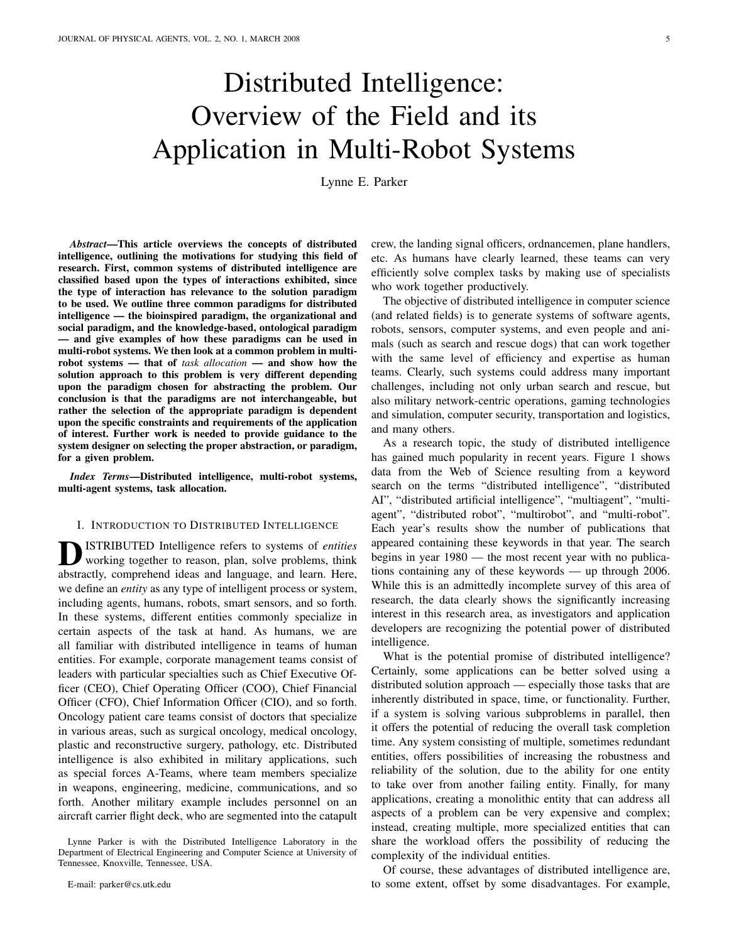# Distributed Intelligence: Overview of the Field and its Application in Multi-Robot Systems

Lynne E. Parker

*Abstract*—This article overviews the concepts of distributed intelligence, outlining the motivations for studying this field of research. First, common systems of distributed intelligence are classified based upon the types of interactions exhibited, since the type of interaction has relevance to the solution paradigm to be used. We outline three common paradigms for distributed intelligence — the bioinspired paradigm, the organizational and social paradigm, and the knowledge-based, ontological paradigm — and give examples of how these paradigms can be used in multi-robot systems. We then look at a common problem in multirobot systems — that of *task allocation* — and show how the solution approach to this problem is very different depending upon the paradigm chosen for abstracting the problem. Our conclusion is that the paradigms are not interchangeable, but rather the selection of the appropriate paradigm is dependent upon the specific constraints and requirements of the application of interest. Further work is needed to provide guidance to the system designer on selecting the proper abstraction, or paradigm, for a given problem.

*Index Terms*—Distributed intelligence, multi-robot systems, multi-agent systems, task allocation.

## I. INTRODUCTION TO DISTRIBUTED INTELLIGENCE

**D** ISTRIBUTED Intelligence refers to systems of entities working together to reason, plan, solve problems, think abstractly, comprehend ideas and language, and learn. Here, ISTRIBUTED Intelligence refers to systems of *entities* working together to reason, plan, solve problems, think we define an *entity* as any type of intelligent process or system, including agents, humans, robots, smart sensors, and so forth. In these systems, different entities commonly specialize in certain aspects of the task at hand. As humans, we are all familiar with distributed intelligence in teams of human entities. For example, corporate management teams consist of leaders with particular specialties such as Chief Executive Officer (CEO), Chief Operating Officer (COO), Chief Financial Officer (CFO), Chief Information Officer (CIO), and so forth. Oncology patient care teams consist of doctors that specialize in various areas, such as surgical oncology, medical oncology, plastic and reconstructive surgery, pathology, etc. Distributed intelligence is also exhibited in military applications, such as special forces A-Teams, where team members specialize in weapons, engineering, medicine, communications, and so forth. Another military example includes personnel on an aircraft carrier flight deck, who are segmented into the catapult

crew, the landing signal officers, ordnancemen, plane handlers, etc. As humans have clearly learned, these teams can very efficiently solve complex tasks by making use of specialists who work together productively.

The objective of distributed intelligence in computer science (and related fields) is to generate systems of software agents, robots, sensors, computer systems, and even people and animals (such as search and rescue dogs) that can work together with the same level of efficiency and expertise as human teams. Clearly, such systems could address many important challenges, including not only urban search and rescue, but also military network-centric operations, gaming technologies and simulation, computer security, transportation and logistics, and many others.

As a research topic, the study of distributed intelligence has gained much popularity in recent years. Figure 1 shows data from the Web of Science resulting from a keyword search on the terms "distributed intelligence", "distributed AI", "distributed artificial intelligence", "multiagent", "multiagent", "distributed robot", "multirobot", and "multi-robot". Each year's results show the number of publications that appeared containing these keywords in that year. The search begins in year 1980 — the most recent year with no publications containing any of these keywords — up through 2006. While this is an admittedly incomplete survey of this area of research, the data clearly shows the significantly increasing interest in this research area, as investigators and application developers are recognizing the potential power of distributed intelligence.

What is the potential promise of distributed intelligence? Certainly, some applications can be better solved using a distributed solution approach — especially those tasks that are inherently distributed in space, time, or functionality. Further, if a system is solving various subproblems in parallel, then it offers the potential of reducing the overall task completion time. Any system consisting of multiple, sometimes redundant entities, offers possibilities of increasing the robustness and reliability of the solution, due to the ability for one entity to take over from another failing entity. Finally, for many applications, creating a monolithic entity that can address all aspects of a problem can be very expensive and complex; instead, creating multiple, more specialized entities that can share the workload offers the possibility of reducing the complexity of the individual entities.

Of course, these advantages of distributed intelligence are, to some extent, offset by some disadvantages. For example,

Lynne Parker is with the Distributed Intelligence Laboratory in the Department of Electrical Engineering and Computer Science at University of Tennessee, Knoxville, Tennessee, USA.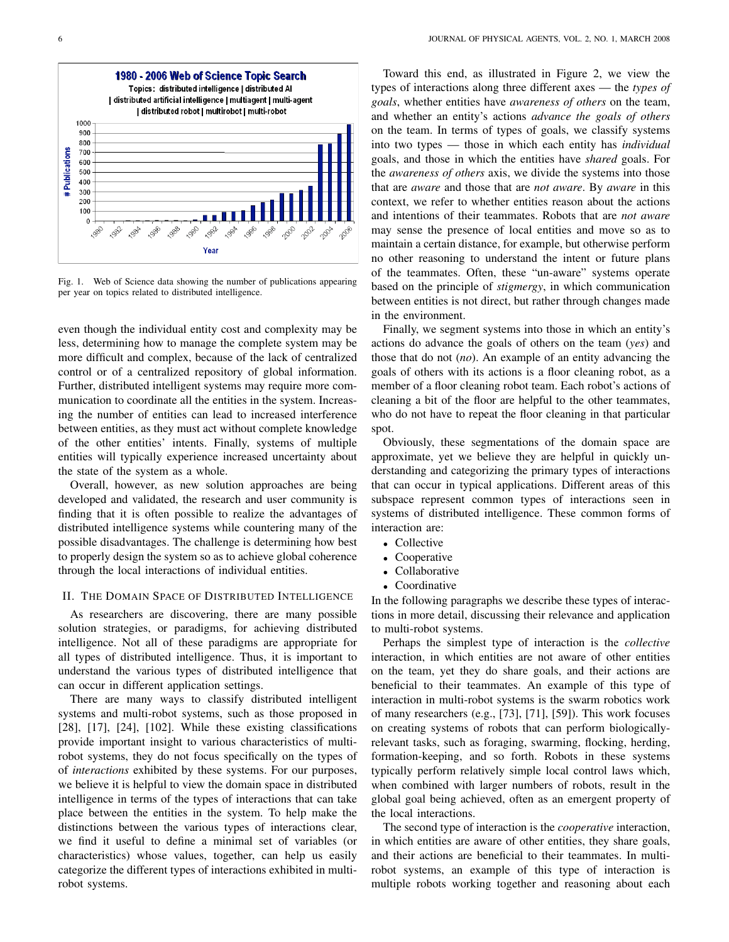

Fig. 1. Web of Science data showing the number of publications appearing per year on topics related to distributed intelligence.

even though the individual entity cost and complexity may be less, determining how to manage the complete system may be more difficult and complex, because of the lack of centralized control or of a centralized repository of global information. Further, distributed intelligent systems may require more communication to coordinate all the entities in the system. Increasing the number of entities can lead to increased interference between entities, as they must act without complete knowledge of the other entities' intents. Finally, systems of multiple entities will typically experience increased uncertainty about the state of the system as a whole.

Overall, however, as new solution approaches are being developed and validated, the research and user community is finding that it is often possible to realize the advantages of distributed intelligence systems while countering many of the possible disadvantages. The challenge is determining how best to properly design the system so as to achieve global coherence through the local interactions of individual entities.

## II. THE DOMAIN SPACE OF DISTRIBUTED INTELLIGENCE

As researchers are discovering, there are many possible solution strategies, or paradigms, for achieving distributed intelligence. Not all of these paradigms are appropriate for all types of distributed intelligence. Thus, it is important to understand the various types of distributed intelligence that can occur in different application settings.

There are many ways to classify distributed intelligent systems and multi-robot systems, such as those proposed in [28], [17], [24], [102]. While these existing classifications provide important insight to various characteristics of multirobot systems, they do not focus specifically on the types of of *interactions* exhibited by these systems. For our purposes, we believe it is helpful to view the domain space in distributed intelligence in terms of the types of interactions that can take place between the entities in the system. To help make the distinctions between the various types of interactions clear, we find it useful to define a minimal set of variables (or characteristics) whose values, together, can help us easily categorize the different types of interactions exhibited in multirobot systems.

Toward this end, as illustrated in Figure 2, we view the types of interactions along three different axes — the *types of goals*, whether entities have *awareness of others* on the team, and whether an entity's actions *advance the goals of others* on the team. In terms of types of goals, we classify systems into two types — those in which each entity has *individual* goals, and those in which the entities have *shared* goals. For the *awareness of others* axis, we divide the systems into those that are *aware* and those that are *not aware*. By *aware* in this context, we refer to whether entities reason about the actions and intentions of their teammates. Robots that are *not aware* may sense the presence of local entities and move so as to maintain a certain distance, for example, but otherwise perform no other reasoning to understand the intent or future plans of the teammates. Often, these "un-aware" systems operate based on the principle of *stigmergy*, in which communication between entities is not direct, but rather through changes made in the environment.

Finally, we segment systems into those in which an entity's actions do advance the goals of others on the team (*yes*) and those that do not (*no*). An example of an entity advancing the goals of others with its actions is a floor cleaning robot, as a member of a floor cleaning robot team. Each robot's actions of cleaning a bit of the floor are helpful to the other teammates, who do not have to repeat the floor cleaning in that particular spot.

Obviously, these segmentations of the domain space are approximate, yet we believe they are helpful in quickly understanding and categorizing the primary types of interactions that can occur in typical applications. Different areas of this subspace represent common types of interactions seen in systems of distributed intelligence. These common forms of interaction are:

- Collective
- Cooperative
- Collaborative
- Coordinative

In the following paragraphs we describe these types of interactions in more detail, discussing their relevance and application to multi-robot systems.

Perhaps the simplest type of interaction is the *collective* interaction, in which entities are not aware of other entities on the team, yet they do share goals, and their actions are beneficial to their teammates. An example of this type of interaction in multi-robot systems is the swarm robotics work of many researchers (e.g., [73], [71], [59]). This work focuses on creating systems of robots that can perform biologicallyrelevant tasks, such as foraging, swarming, flocking, herding, formation-keeping, and so forth. Robots in these systems typically perform relatively simple local control laws which, when combined with larger numbers of robots, result in the global goal being achieved, often as an emergent property of the local interactions.

The second type of interaction is the *cooperative* interaction, in which entities are aware of other entities, they share goals, and their actions are beneficial to their teammates. In multirobot systems, an example of this type of interaction is multiple robots working together and reasoning about each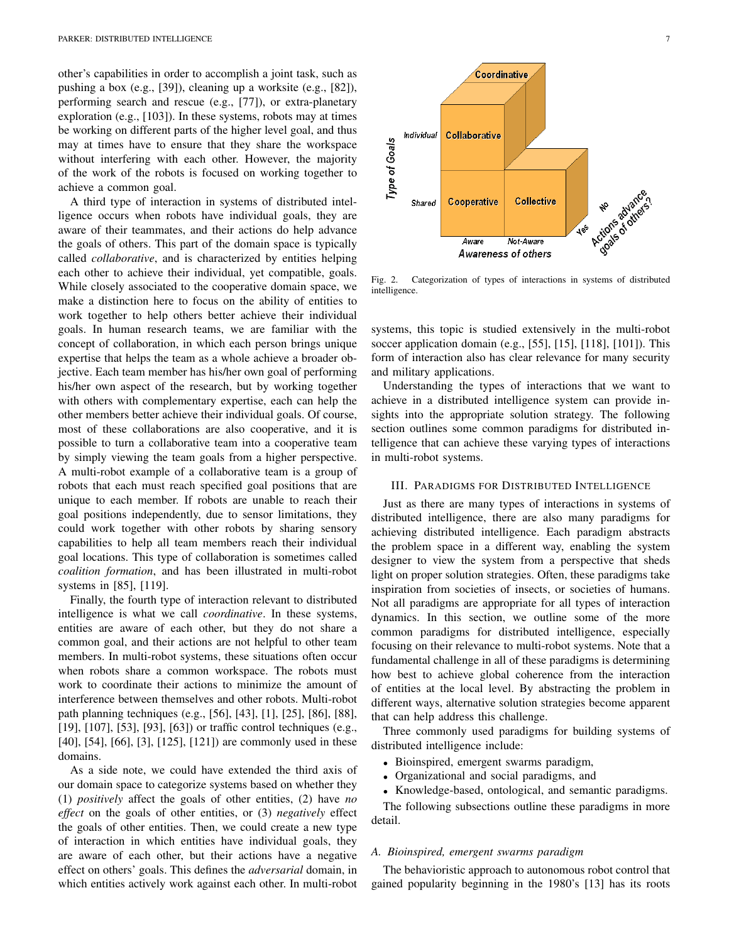other's capabilities in order to accomplish a joint task, such as pushing a box (e.g., [39]), cleaning up a worksite (e.g., [82]), performing search and rescue (e.g., [77]), or extra-planetary exploration (e.g., [103]). In these systems, robots may at times be working on different parts of the higher level goal, and thus may at times have to ensure that they share the workspace without interfering with each other. However, the majority of the work of the robots is focused on working together to achieve a common goal.

A third type of interaction in systems of distributed intelligence occurs when robots have individual goals, they are aware of their teammates, and their actions do help advance the goals of others. This part of the domain space is typically called *collaborative*, and is characterized by entities helping each other to achieve their individual, yet compatible, goals. While closely associated to the cooperative domain space, we make a distinction here to focus on the ability of entities to work together to help others better achieve their individual goals. In human research teams, we are familiar with the concept of collaboration, in which each person brings unique expertise that helps the team as a whole achieve a broader objective. Each team member has his/her own goal of performing his/her own aspect of the research, but by working together with others with complementary expertise, each can help the other members better achieve their individual goals. Of course, most of these collaborations are also cooperative, and it is possible to turn a collaborative team into a cooperative team by simply viewing the team goals from a higher perspective. A multi-robot example of a collaborative team is a group of robots that each must reach specified goal positions that are unique to each member. If robots are unable to reach their goal positions independently, due to sensor limitations, they could work together with other robots by sharing sensory capabilities to help all team members reach their individual goal locations. This type of collaboration is sometimes called *coalition formation*, and has been illustrated in multi-robot systems in [85], [119].

Finally, the fourth type of interaction relevant to distributed intelligence is what we call *coordinative*. In these systems, entities are aware of each other, but they do not share a common goal, and their actions are not helpful to other team members. In multi-robot systems, these situations often occur when robots share a common workspace. The robots must work to coordinate their actions to minimize the amount of interference between themselves and other robots. Multi-robot path planning techniques (e.g., [56], [43], [1], [25], [86], [88], [19], [107], [53], [93], [63]) or traffic control techniques (e.g., [40], [54], [66], [3], [125], [121]) are commonly used in these domains.

As a side note, we could have extended the third axis of our domain space to categorize systems based on whether they (1) *positively* affect the goals of other entities, (2) have *no effect* on the goals of other entities, or (3) *negatively* effect the goals of other entities. Then, we could create a new type of interaction in which entities have individual goals, they are aware of each other, but their actions have a negative effect on others' goals. This defines the *adversarial* domain, in which entities actively work against each other. In multi-robot



Fig. 2. Categorization of types of interactions in systems of distributed intelligence.

systems, this topic is studied extensively in the multi-robot soccer application domain (e.g., [55], [15], [118], [101]). This form of interaction also has clear relevance for many security and military applications.

Understanding the types of interactions that we want to achieve in a distributed intelligence system can provide insights into the appropriate solution strategy. The following section outlines some common paradigms for distributed intelligence that can achieve these varying types of interactions in multi-robot systems.

### III. PARADIGMS FOR DISTRIBUTED INTELLIGENCE

Just as there are many types of interactions in systems of distributed intelligence, there are also many paradigms for achieving distributed intelligence. Each paradigm abstracts the problem space in a different way, enabling the system designer to view the system from a perspective that sheds light on proper solution strategies. Often, these paradigms take inspiration from societies of insects, or societies of humans. Not all paradigms are appropriate for all types of interaction dynamics. In this section, we outline some of the more common paradigms for distributed intelligence, especially focusing on their relevance to multi-robot systems. Note that a fundamental challenge in all of these paradigms is determining how best to achieve global coherence from the interaction of entities at the local level. By abstracting the problem in different ways, alternative solution strategies become apparent that can help address this challenge.

Three commonly used paradigms for building systems of distributed intelligence include:

- Bioinspired, emergent swarms paradigm,
- Organizational and social paradigms, and
- Knowledge-based, ontological, and semantic paradigms.

The following subsections outline these paradigms in more detail.

## *A. Bioinspired, emergent swarms paradigm*

The behavioristic approach to autonomous robot control that gained popularity beginning in the 1980's [13] has its roots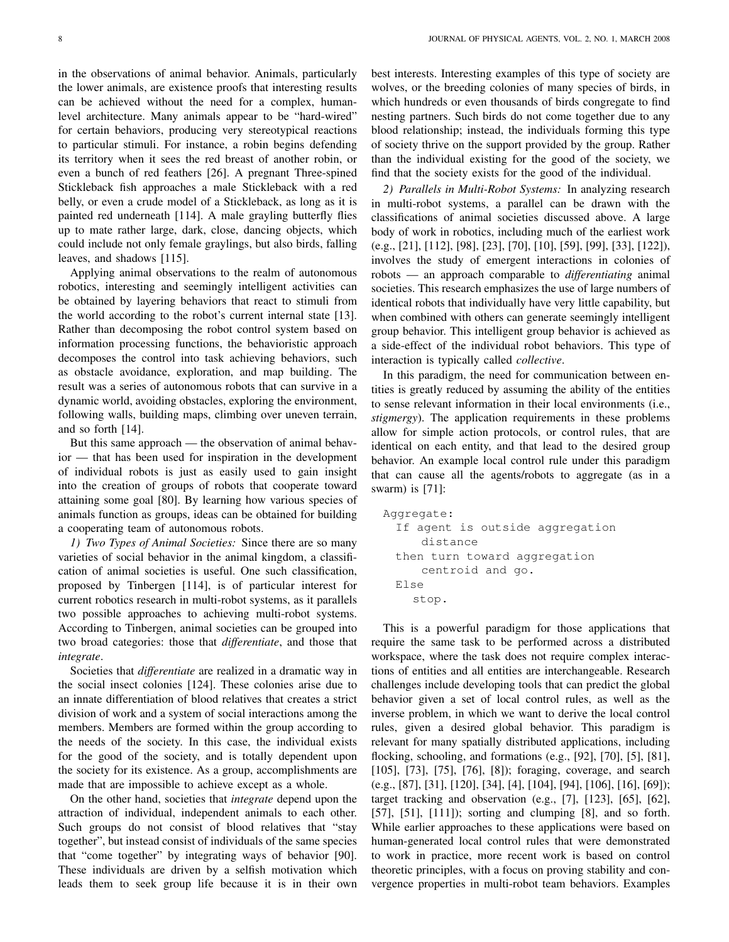in the observations of animal behavior. Animals, particularly the lower animals, are existence proofs that interesting results can be achieved without the need for a complex, humanlevel architecture. Many animals appear to be "hard-wired" for certain behaviors, producing very stereotypical reactions to particular stimuli. For instance, a robin begins defending its territory when it sees the red breast of another robin, or even a bunch of red feathers [26]. A pregnant Three-spined Stickleback fish approaches a male Stickleback with a red belly, or even a crude model of a Stickleback, as long as it is painted red underneath [114]. A male grayling butterfly flies up to mate rather large, dark, close, dancing objects, which could include not only female graylings, but also birds, falling leaves, and shadows [115].

Applying animal observations to the realm of autonomous robotics, interesting and seemingly intelligent activities can be obtained by layering behaviors that react to stimuli from the world according to the robot's current internal state [13]. Rather than decomposing the robot control system based on information processing functions, the behavioristic approach decomposes the control into task achieving behaviors, such as obstacle avoidance, exploration, and map building. The result was a series of autonomous robots that can survive in a dynamic world, avoiding obstacles, exploring the environment, following walls, building maps, climbing over uneven terrain, and so forth [14].

But this same approach — the observation of animal behavior — that has been used for inspiration in the development of individual robots is just as easily used to gain insight into the creation of groups of robots that cooperate toward attaining some goal [80]. By learning how various species of animals function as groups, ideas can be obtained for building a cooperating team of autonomous robots.

*1) Two Types of Animal Societies:* Since there are so many varieties of social behavior in the animal kingdom, a classification of animal societies is useful. One such classification, proposed by Tinbergen [114], is of particular interest for current robotics research in multi-robot systems, as it parallels two possible approaches to achieving multi-robot systems. According to Tinbergen, animal societies can be grouped into two broad categories: those that *differentiate*, and those that *integrate*.

Societies that *differentiate* are realized in a dramatic way in the social insect colonies [124]. These colonies arise due to an innate differentiation of blood relatives that creates a strict division of work and a system of social interactions among the members. Members are formed within the group according to the needs of the society. In this case, the individual exists for the good of the society, and is totally dependent upon the society for its existence. As a group, accomplishments are made that are impossible to achieve except as a whole.

On the other hand, societies that *integrate* depend upon the attraction of individual, independent animals to each other. Such groups do not consist of blood relatives that "stay together", but instead consist of individuals of the same species that "come together" by integrating ways of behavior [90]. These individuals are driven by a selfish motivation which leads them to seek group life because it is in their own best interests. Interesting examples of this type of society are wolves, or the breeding colonies of many species of birds, in which hundreds or even thousands of birds congregate to find nesting partners. Such birds do not come together due to any blood relationship; instead, the individuals forming this type of society thrive on the support provided by the group. Rather than the individual existing for the good of the society, we find that the society exists for the good of the individual.

*2) Parallels in Multi-Robot Systems:* In analyzing research in multi-robot systems, a parallel can be drawn with the classifications of animal societies discussed above. A large body of work in robotics, including much of the earliest work (e.g., [21], [112], [98], [23], [70], [10], [59], [99], [33], [122]), involves the study of emergent interactions in colonies of robots — an approach comparable to *differentiating* animal societies. This research emphasizes the use of large numbers of identical robots that individually have very little capability, but when combined with others can generate seemingly intelligent group behavior. This intelligent group behavior is achieved as a side-effect of the individual robot behaviors. This type of interaction is typically called *collective*.

In this paradigm, the need for communication between entities is greatly reduced by assuming the ability of the entities to sense relevant information in their local environments (i.e., *stigmergy*). The application requirements in these problems allow for simple action protocols, or control rules, that are identical on each entity, and that lead to the desired group behavior. An example local control rule under this paradigm that can cause all the agents/robots to aggregate (as in a swarm) is [71]:

```
Aggregate:
 If agent is outside aggregation
    distance
then turn toward aggregation
    centroid and go.
Else
   stop.
```
This is a powerful paradigm for those applications that require the same task to be performed across a distributed workspace, where the task does not require complex interactions of entities and all entities are interchangeable. Research challenges include developing tools that can predict the global behavior given a set of local control rules, as well as the inverse problem, in which we want to derive the local control rules, given a desired global behavior. This paradigm is relevant for many spatially distributed applications, including flocking, schooling, and formations (e.g., [92], [70], [5], [81], [105], [73], [75], [76], [8]); foraging, coverage, and search (e.g., [87], [31], [120], [34], [4], [104], [94], [106], [16], [69]); target tracking and observation (e.g., [7], [123], [65], [62], [57], [51], [111]); sorting and clumping [8], and so forth. While earlier approaches to these applications were based on human-generated local control rules that were demonstrated to work in practice, more recent work is based on control theoretic principles, with a focus on proving stability and convergence properties in multi-robot team behaviors. Examples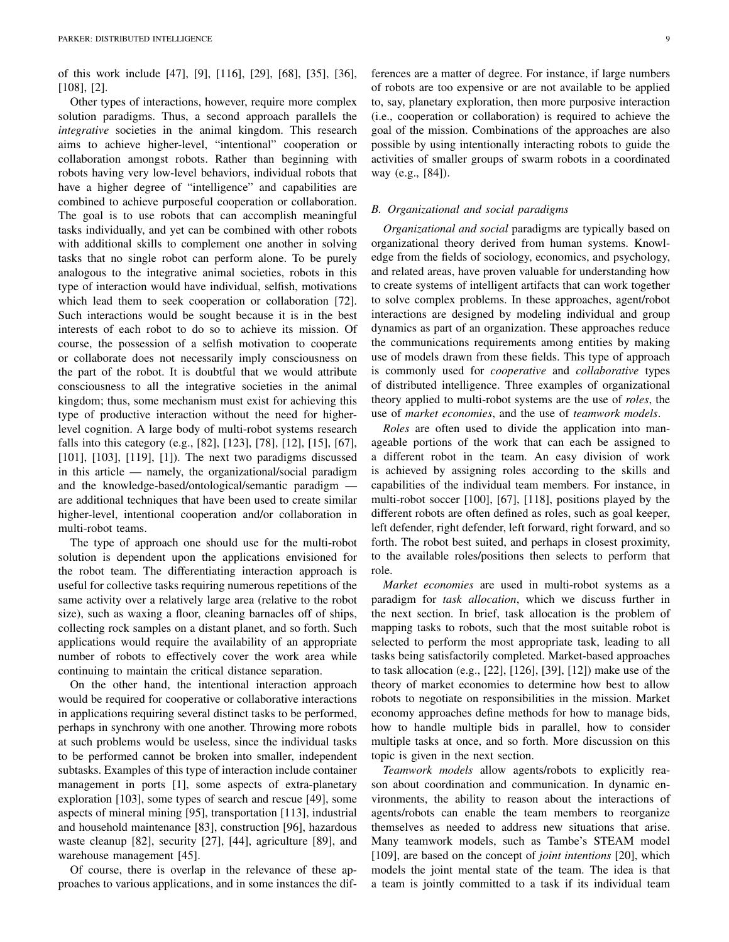of this work include [47], [9], [116], [29], [68], [35], [36], [108], [2].

Other types of interactions, however, require more complex solution paradigms. Thus, a second approach parallels the *integrative* societies in the animal kingdom. This research aims to achieve higher-level, "intentional" cooperation or collaboration amongst robots. Rather than beginning with robots having very low-level behaviors, individual robots that have a higher degree of "intelligence" and capabilities are combined to achieve purposeful cooperation or collaboration. The goal is to use robots that can accomplish meaningful tasks individually, and yet can be combined with other robots with additional skills to complement one another in solving tasks that no single robot can perform alone. To be purely analogous to the integrative animal societies, robots in this type of interaction would have individual, selfish, motivations which lead them to seek cooperation or collaboration [72]. Such interactions would be sought because it is in the best interests of each robot to do so to achieve its mission. Of course, the possession of a selfish motivation to cooperate or collaborate does not necessarily imply consciousness on the part of the robot. It is doubtful that we would attribute consciousness to all the integrative societies in the animal kingdom; thus, some mechanism must exist for achieving this type of productive interaction without the need for higherlevel cognition. A large body of multi-robot systems research falls into this category (e.g., [82], [123], [78], [12], [15], [67], [101], [103], [119], [1]). The next two paradigms discussed in this article — namely, the organizational/social paradigm and the knowledge-based/ontological/semantic paradigm are additional techniques that have been used to create similar higher-level, intentional cooperation and/or collaboration in multi-robot teams.

The type of approach one should use for the multi-robot solution is dependent upon the applications envisioned for the robot team. The differentiating interaction approach is useful for collective tasks requiring numerous repetitions of the same activity over a relatively large area (relative to the robot size), such as waxing a floor, cleaning barnacles off of ships, collecting rock samples on a distant planet, and so forth. Such applications would require the availability of an appropriate number of robots to effectively cover the work area while continuing to maintain the critical distance separation.

On the other hand, the intentional interaction approach would be required for cooperative or collaborative interactions in applications requiring several distinct tasks to be performed, perhaps in synchrony with one another. Throwing more robots at such problems would be useless, since the individual tasks to be performed cannot be broken into smaller, independent subtasks. Examples of this type of interaction include container management in ports [1], some aspects of extra-planetary exploration [103], some types of search and rescue [49], some aspects of mineral mining [95], transportation [113], industrial and household maintenance [83], construction [96], hazardous waste cleanup [82], security [27], [44], agriculture [89], and warehouse management [45].

Of course, there is overlap in the relevance of these approaches to various applications, and in some instances the differences are a matter of degree. For instance, if large numbers of robots are too expensive or are not available to be applied to, say, planetary exploration, then more purposive interaction (i.e., cooperation or collaboration) is required to achieve the goal of the mission. Combinations of the approaches are also possible by using intentionally interacting robots to guide the activities of smaller groups of swarm robots in a coordinated way (e.g., [84]).

## *B. Organizational and social paradigms*

*Organizational and social* paradigms are typically based on organizational theory derived from human systems. Knowledge from the fields of sociology, economics, and psychology, and related areas, have proven valuable for understanding how to create systems of intelligent artifacts that can work together to solve complex problems. In these approaches, agent/robot interactions are designed by modeling individual and group dynamics as part of an organization. These approaches reduce the communications requirements among entities by making use of models drawn from these fields. This type of approach is commonly used for *cooperative* and *collaborative* types of distributed intelligence. Three examples of organizational theory applied to multi-robot systems are the use of *roles*, the use of *market economies*, and the use of *teamwork models*.

*Roles* are often used to divide the application into manageable portions of the work that can each be assigned to a different robot in the team. An easy division of work is achieved by assigning roles according to the skills and capabilities of the individual team members. For instance, in multi-robot soccer [100], [67], [118], positions played by the different robots are often defined as roles, such as goal keeper, left defender, right defender, left forward, right forward, and so forth. The robot best suited, and perhaps in closest proximity, to the available roles/positions then selects to perform that role.

*Market economies* are used in multi-robot systems as a paradigm for *task allocation*, which we discuss further in the next section. In brief, task allocation is the problem of mapping tasks to robots, such that the most suitable robot is selected to perform the most appropriate task, leading to all tasks being satisfactorily completed. Market-based approaches to task allocation (e.g., [22], [126], [39], [12]) make use of the theory of market economies to determine how best to allow robots to negotiate on responsibilities in the mission. Market economy approaches define methods for how to manage bids, how to handle multiple bids in parallel, how to consider multiple tasks at once, and so forth. More discussion on this topic is given in the next section.

*Teamwork models* allow agents/robots to explicitly reason about coordination and communication. In dynamic environments, the ability to reason about the interactions of agents/robots can enable the team members to reorganize themselves as needed to address new situations that arise. Many teamwork models, such as Tambe's STEAM model [109], are based on the concept of *joint intentions* [20], which models the joint mental state of the team. The idea is that a team is jointly committed to a task if its individual team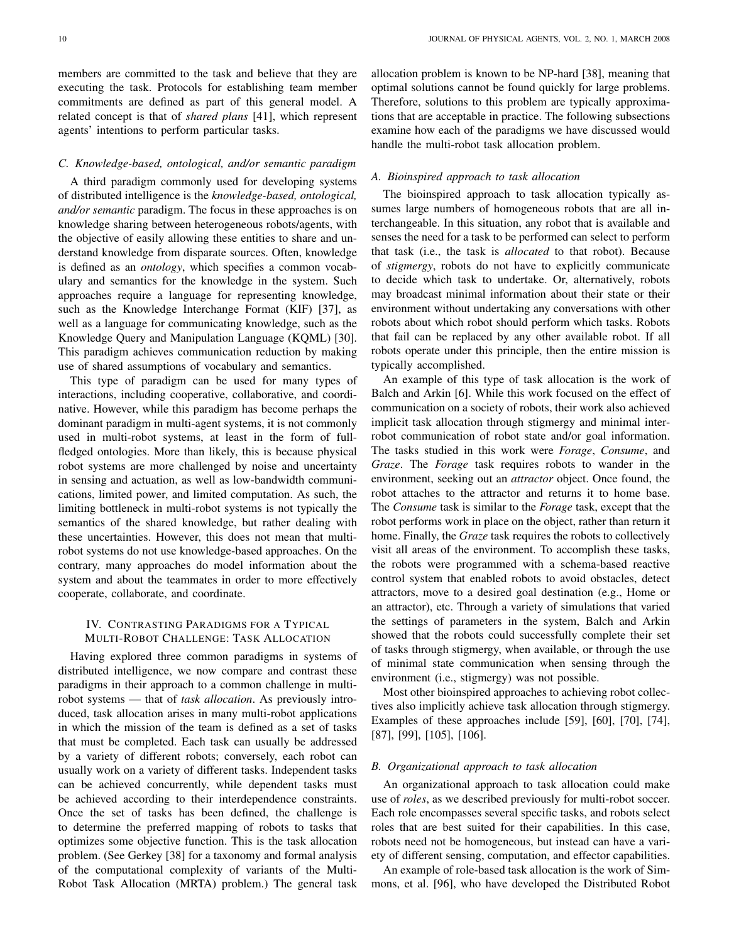members are committed to the task and believe that they are executing the task. Protocols for establishing team member commitments are defined as part of this general model. A related concept is that of *shared plans* [41], which represent agents' intentions to perform particular tasks.

# *C. Knowledge-based, ontological, and/or semantic paradigm*

A third paradigm commonly used for developing systems of distributed intelligence is the *knowledge-based, ontological, and/or semantic* paradigm. The focus in these approaches is on knowledge sharing between heterogeneous robots/agents, with the objective of easily allowing these entities to share and understand knowledge from disparate sources. Often, knowledge is defined as an *ontology*, which specifies a common vocabulary and semantics for the knowledge in the system. Such approaches require a language for representing knowledge, such as the Knowledge Interchange Format (KIF) [37], as well as a language for communicating knowledge, such as the Knowledge Query and Manipulation Language (KQML) [30]. This paradigm achieves communication reduction by making use of shared assumptions of vocabulary and semantics.

This type of paradigm can be used for many types of interactions, including cooperative, collaborative, and coordinative. However, while this paradigm has become perhaps the dominant paradigm in multi-agent systems, it is not commonly used in multi-robot systems, at least in the form of fullfledged ontologies. More than likely, this is because physical robot systems are more challenged by noise and uncertainty in sensing and actuation, as well as low-bandwidth communications, limited power, and limited computation. As such, the limiting bottleneck in multi-robot systems is not typically the semantics of the shared knowledge, but rather dealing with these uncertainties. However, this does not mean that multirobot systems do not use knowledge-based approaches. On the contrary, many approaches do model information about the system and about the teammates in order to more effectively cooperate, collaborate, and coordinate.

# IV. CONTRASTING PARADIGMS FOR A TYPICAL MULTI-ROBOT CHALLENGE: TASK ALLOCATION

Having explored three common paradigms in systems of distributed intelligence, we now compare and contrast these paradigms in their approach to a common challenge in multirobot systems — that of *task allocation*. As previously introduced, task allocation arises in many multi-robot applications in which the mission of the team is defined as a set of tasks that must be completed. Each task can usually be addressed by a variety of different robots; conversely, each robot can usually work on a variety of different tasks. Independent tasks can be achieved concurrently, while dependent tasks must be achieved according to their interdependence constraints. Once the set of tasks has been defined, the challenge is to determine the preferred mapping of robots to tasks that optimizes some objective function. This is the task allocation problem. (See Gerkey [38] for a taxonomy and formal analysis of the computational complexity of variants of the Multi-Robot Task Allocation (MRTA) problem.) The general task allocation problem is known to be NP-hard [38], meaning that optimal solutions cannot be found quickly for large problems. Therefore, solutions to this problem are typically approximations that are acceptable in practice. The following subsections examine how each of the paradigms we have discussed would handle the multi-robot task allocation problem.

# *A. Bioinspired approach to task allocation*

The bioinspired approach to task allocation typically assumes large numbers of homogeneous robots that are all interchangeable. In this situation, any robot that is available and senses the need for a task to be performed can select to perform that task (i.e., the task is *allocated* to that robot). Because of *stigmergy*, robots do not have to explicitly communicate to decide which task to undertake. Or, alternatively, robots may broadcast minimal information about their state or their environment without undertaking any conversations with other robots about which robot should perform which tasks. Robots that fail can be replaced by any other available robot. If all robots operate under this principle, then the entire mission is typically accomplished.

An example of this type of task allocation is the work of Balch and Arkin [6]. While this work focused on the effect of communication on a society of robots, their work also achieved implicit task allocation through stigmergy and minimal interrobot communication of robot state and/or goal information. The tasks studied in this work were *Forage*, *Consume*, and *Graze*. The *Forage* task requires robots to wander in the environment, seeking out an *attractor* object. Once found, the robot attaches to the attractor and returns it to home base. The *Consume* task is similar to the *Forage* task, except that the robot performs work in place on the object, rather than return it home. Finally, the *Graze* task requires the robots to collectively visit all areas of the environment. To accomplish these tasks, the robots were programmed with a schema-based reactive control system that enabled robots to avoid obstacles, detect attractors, move to a desired goal destination (e.g., Home or an attractor), etc. Through a variety of simulations that varied the settings of parameters in the system, Balch and Arkin showed that the robots could successfully complete their set of tasks through stigmergy, when available, or through the use of minimal state communication when sensing through the environment (i.e., stigmergy) was not possible.

Most other bioinspired approaches to achieving robot collectives also implicitly achieve task allocation through stigmergy. Examples of these approaches include [59], [60], [70], [74], [87], [99], [105], [106].

## *B. Organizational approach to task allocation*

An organizational approach to task allocation could make use of *roles*, as we described previously for multi-robot soccer. Each role encompasses several specific tasks, and robots select roles that are best suited for their capabilities. In this case, robots need not be homogeneous, but instead can have a variety of different sensing, computation, and effector capabilities.

An example of role-based task allocation is the work of Simmons, et al. [96], who have developed the Distributed Robot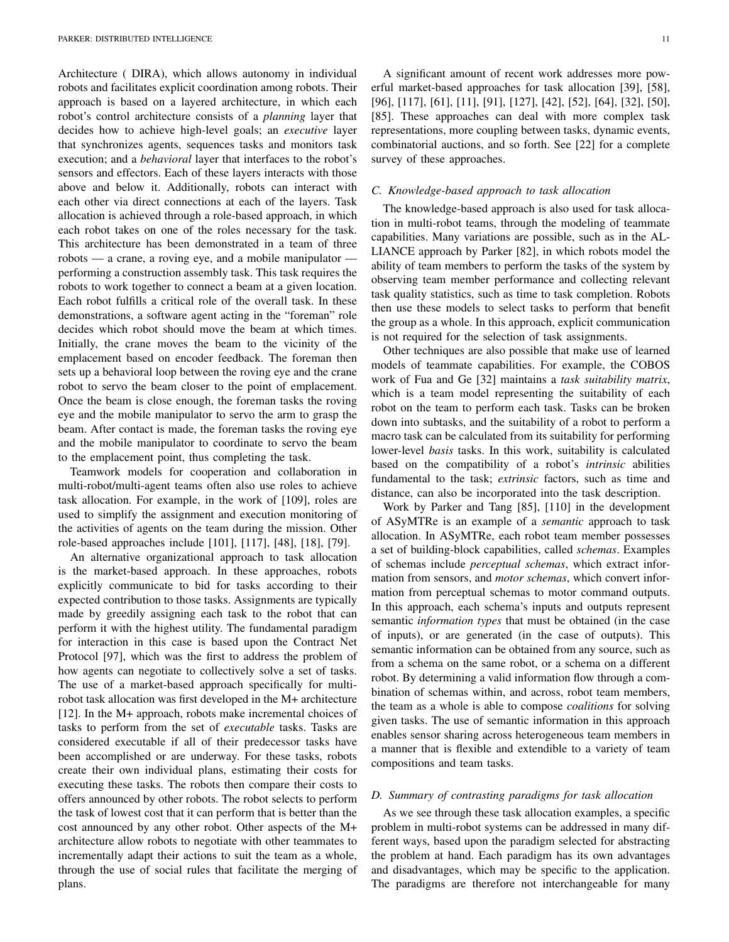Architecture ( DIRA), which allows autonomy in individual robots and facilitates explicit coordination among robots. Their approach is based on a layered architecture, in which each robot's control architecture consists of a *planning* layer that decides how to achieve high-level goals; an *executive* layer that synchronizes agents, sequences tasks and monitors task execution; and a *behavioral* layer that interfaces to the robot's sensors and effectors. Each of these layers interacts with those above and below it. Additionally, robots can interact with each other via direct connections at each of the layers. Task allocation is achieved through a role-based approach, in which each robot takes on one of the roles necessary for the task. This architecture has been demonstrated in a team of three robots — a crane, a roving eye, and a mobile manipulator performing a construction assembly task. This task requires the robots to work together to connect a beam at a given location. Each robot fulfills a critical role of the overall task. In these demonstrations, a software agent acting in the "foreman" role decides which robot should move the beam at which times. Initially, the crane moves the beam to the vicinity of the emplacement based on encoder feedback. The foreman then sets up a behavioral loop between the roving eye and the crane robot to servo the beam closer to the point of emplacement. Once the beam is close enough, the foreman tasks the roving eye and the mobile manipulator to servo the arm to grasp the beam. After contact is made, the foreman tasks the roving eye and the mobile manipulator to coordinate to servo the beam to the emplacement point, thus completing the task.

Teamwork models for cooperation and collaboration in multi-robot/multi-agent teams often also use roles to achieve task allocation. For example, in the work of [109], roles are used to simplify the assignment and execution monitoring of the activities of agents on the team during the mission. Other role-based approaches include [101], [117], [48], [18], [79].

An alternative organizational approach to task allocation is the market-based approach. In these approaches, robots explicitly communicate to bid for tasks according to their expected contribution to those tasks. Assignments are typically made by greedily assigning each task to the robot that can perform it with the highest utility. The fundamental paradigm for interaction in this case is based upon the Contract Net Protocol [97], which was the first to address the problem of how agents can negotiate to collectively solve a set of tasks. The use of a market-based approach specifically for multirobot task allocation was first developed in the M+ architecture [12]. In the M+ approach, robots make incremental choices of tasks to perform from the set of *executable* tasks. Tasks are considered executable if all of their predecessor tasks have been accomplished or are underway. For these tasks, robots create their own individual plans, estimating their costs for executing these tasks. The robots then compare their costs to offers announced by other robots. The robot selects to perform the task of lowest cost that it can perform that is better than the cost announced by any other robot. Other aspects of the M+ architecture allow robots to negotiate with other teammates to incrementally adapt their actions to suit the team as a whole, through the use of social rules that facilitate the merging of plans.

A significant amount of recent work addresses more powerful market-based approaches for task allocation [39], [58], [96], [117], [61], [11], [91], [127], [42], [52], [64], [32], [50], [85]. These approaches can deal with more complex task representations, more coupling between tasks, dynamic events, combinatorial auctions, and so forth. See [22] for a complete survey of these approaches.

#### *C. Knowledge-based approach to task allocation*

The knowledge-based approach is also used for task allocation in multi-robot teams, through the modeling of teammate capabilities. Many variations are possible, such as in the AL-LIANCE approach by Parker [82], in which robots model the ability of team members to perform the tasks of the system by observing team member performance and collecting relevant task quality statistics, such as time to task completion. Robots then use these models to select tasks to perform that benefit the group as a whole. In this approach, explicit communication is not required for the selection of task assignments.

Other techniques are also possible that make use of learned models of teammate capabilities. For example, the COBOS work of Fua and Ge [32] maintains a *task suitability matrix*, which is a team model representing the suitability of each robot on the team to perform each task. Tasks can be broken down into subtasks, and the suitability of a robot to perform a macro task can be calculated from its suitability for performing lower-level *basis* tasks. In this work, suitability is calculated based on the compatibility of a robot's *intrinsic* abilities fundamental to the task; *extrinsic* factors, such as time and distance, can also be incorporated into the task description.

Work by Parker and Tang [85], [110] in the development of ASyMTRe is an example of a *semantic* approach to task allocation. In ASyMTRe, each robot team member possesses a set of building-block capabilities, called *schemas*. Examples of schemas include *perceptual schemas*, which extract information from sensors, and *motor schemas*, which convert information from perceptual schemas to motor command outputs. In this approach, each schema's inputs and outputs represent semantic *information types* that must be obtained (in the case of inputs), or are generated (in the case of outputs). This semantic information can be obtained from any source, such as from a schema on the same robot, or a schema on a different robot. By determining a valid information flow through a combination of schemas within, and across, robot team members, the team as a whole is able to compose *coalitions* for solving given tasks. The use of semantic information in this approach enables sensor sharing across heterogeneous team members in a manner that is flexible and extendible to a variety of team compositions and team tasks.

### *D. Summary of contrasting paradigms for task allocation*

As we see through these task allocation examples, a specific problem in multi-robot systems can be addressed in many different ways, based upon the paradigm selected for abstracting the problem at hand. Each paradigm has its own advantages and disadvantages, which may be specific to the application. The paradigms are therefore not interchangeable for many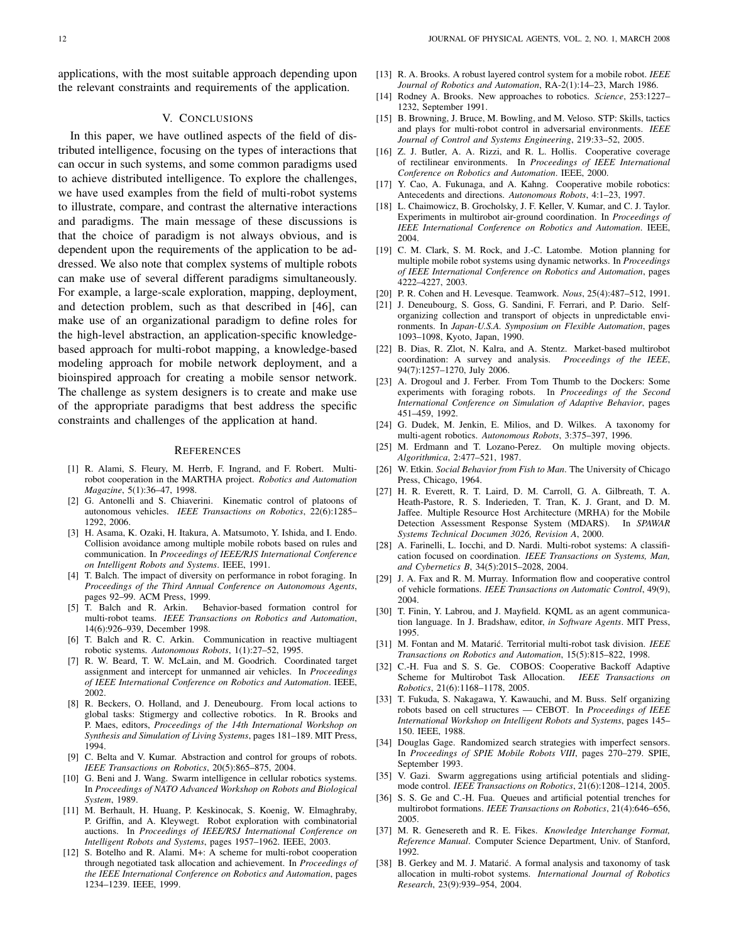applications, with the most suitable approach depending upon the relevant constraints and requirements of the application.

## V. CONCLUSIONS

In this paper, we have outlined aspects of the field of distributed intelligence, focusing on the types of interactions that can occur in such systems, and some common paradigms used to achieve distributed intelligence. To explore the challenges, we have used examples from the field of multi-robot systems to illustrate, compare, and contrast the alternative interactions and paradigms. The main message of these discussions is that the choice of paradigm is not always obvious, and is dependent upon the requirements of the application to be addressed. We also note that complex systems of multiple robots can make use of several different paradigms simultaneously. For example, a large-scale exploration, mapping, deployment, and detection problem, such as that described in [46], can make use of an organizational paradigm to define roles for the high-level abstraction, an application-specific knowledgebased approach for multi-robot mapping, a knowledge-based modeling approach for mobile network deployment, and a bioinspired approach for creating a mobile sensor network. The challenge as system designers is to create and make use of the appropriate paradigms that best address the specific constraints and challenges of the application at hand.

#### **REFERENCES**

- [1] R. Alami, S. Fleury, M. Herrb, F. Ingrand, and F. Robert. Multirobot cooperation in the MARTHA project. *Robotics and Automation Magazine*, 5(1):36–47, 1998.
- [2] G. Antonelli and S. Chiaverini. Kinematic control of platoons of autonomous vehicles. *IEEE Transactions on Robotics*, 22(6):1285– 1292, 2006.
- [3] H. Asama, K. Ozaki, H. Itakura, A. Matsumoto, Y. Ishida, and I. Endo. Collision avoidance among multiple mobile robots based on rules and communication. In *Proceedings of IEEE/RJS International Conference on Intelligent Robots and Systems*. IEEE, 1991.
- [4] T. Balch. The impact of diversity on performance in robot foraging. In *Proceedings of the Third Annual Conference on Autonomous Agents*, pages 92–99. ACM Press, 1999.
- [5] T. Balch and R. Arkin. Behavior-based formation control for multi-robot teams. *IEEE Transactions on Robotics and Automation*, 14(6):926–939, December 1998.
- [6] T. Balch and R. C. Arkin. Communication in reactive multiagent robotic systems. *Autonomous Robots*, 1(1):27–52, 1995.
- [7] R. W. Beard, T. W. McLain, and M. Goodrich. Coordinated target assignment and intercept for unmanned air vehicles. In *Proceedings of IEEE International Conference on Robotics and Automation*. IEEE, 2002.
- [8] R. Beckers, O. Holland, and J. Deneubourg. From local actions to global tasks: Stigmergy and collective robotics. In R. Brooks and P. Maes, editors, *Proceedings of the 14th International Workshop on Synthesis and Simulation of Living Systems*, pages 181–189. MIT Press, 1994.
- [9] C. Belta and V. Kumar. Abstraction and control for groups of robots. *IEEE Transactions on Robotics*, 20(5):865–875, 2004.
- [10] G. Beni and J. Wang. Swarm intelligence in cellular robotics systems. In *Proceedings of NATO Advanced Workshop on Robots and Biological System*, 1989.
- [11] M. Berhault, H. Huang, P. Keskinocak, S. Koenig, W. Elmaghraby, P. Griffin, and A. Kleywegt. Robot exploration with combinatorial auctions. In *Proceedings of IEEE/RSJ International Conference on Intelligent Robots and Systems*, pages 1957–1962. IEEE, 2003.
- [12] S. Botelho and R. Alami. M+: A scheme for multi-robot cooperation through negotiated task allocation and achievement. In *Proceedings of the IEEE International Conference on Robotics and Automation*, pages 1234–1239. IEEE, 1999.
- [13] R. A. Brooks. A robust layered control system for a mobile robot. *IEEE Journal of Robotics and Automation*, RA-2(1):14–23, March 1986.
- [14] Rodney A. Brooks. New approaches to robotics. *Science*, 253:1227– 1232, September 1991.
- [15] B. Browning, J. Bruce, M. Bowling, and M. Veloso. STP: Skills, tactics and plays for multi-robot control in adversarial environments. *IEEE Journal of Control and Systems Engineering*, 219:33–52, 2005.
- [16] Z. J. Butler, A. A. Rizzi, and R. L. Hollis. Cooperative coverage of rectilinear environments. In *Proceedings of IEEE International Conference on Robotics and Automation*. IEEE, 2000.
- [17] Y. Cao, A. Fukunaga, and A. Kahng. Cooperative mobile robotics: Antecedents and directions. *Autonomous Robots*, 4:1–23, 1997.
- [18] L. Chaimowicz, B. Grocholsky, J. F. Keller, V. Kumar, and C. J. Taylor. Experiments in multirobot air-ground coordination. In *Proceedings of IEEE International Conference on Robotics and Automation*. IEEE, 2004.
- [19] C. M. Clark, S. M. Rock, and J.-C. Latombe. Motion planning for multiple mobile robot systems using dynamic networks. In *Proceedings of IEEE International Conference on Robotics and Automation*, pages 4222–4227, 2003.
- [20] P. R. Cohen and H. Levesque. Teamwork. *Nous*, 25(4):487–512, 1991.
- [21] J. Deneubourg, S. Goss, G. Sandini, F. Ferrari, and P. Dario. Selforganizing collection and transport of objects in unpredictable environments. In *Japan-U.S.A. Symposium on Flexible Automation*, pages 1093–1098, Kyoto, Japan, 1990.
- [22] B. Dias, R. Zlot, N. Kalra, and A. Stentz. Market-based multirobot coordination: A survey and analysis. *Proceedings of the IEEE*, 94(7):1257–1270, July 2006.
- [23] A. Drogoul and J. Ferber. From Tom Thumb to the Dockers: Some experiments with foraging robots. In *Proceedings of the Second International Conference on Simulation of Adaptive Behavior*, pages 451–459, 1992.
- [24] G. Dudek, M. Jenkin, E. Milios, and D. Wilkes. A taxonomy for multi-agent robotics. *Autonomous Robots*, 3:375–397, 1996.
- [25] M. Erdmann and T. Lozano-Perez. On multiple moving objects. *Algorithmica*, 2:477–521, 1987.
- [26] W. Etkin. *Social Behavior from Fish to Man*. The University of Chicago Press, Chicago, 1964.
- [27] H. R. Everett, R. T. Laird, D. M. Carroll, G. A. Gilbreath, T. A. Heath-Pastore, R. S. Inderieden, T. Tran, K. J. Grant, and D. M. Jaffee. Multiple Resource Host Architecture (MRHA) for the Mobile Detection Assessment Response System (MDARS). In *SPAWAR Systems Technical Documen 3026, Revision A*, 2000.
- [28] A. Farinelli, L. Iocchi, and D. Nardi. Multi-robot systems: A classification focused on coordination. *IEEE Transactions on Systems, Man, and Cybernetics B*, 34(5):2015–2028, 2004.
- [29] J. A. Fax and R. M. Murray. Information flow and cooperative control of vehicle formations. *IEEE Transactions on Automatic Control*, 49(9), 2004.
- [30] T. Finin, Y. Labrou, and J. Mayfield. KQML as an agent communication language. In J. Bradshaw, editor, *in Software Agents*. MIT Press, 1995.
- [31] M. Fontan and M. Matarić. Territorial multi-robot task division. IEEE *Transactions on Robotics and Automation*, 15(5):815–822, 1998.
- [32] C.-H. Fua and S. S. Ge. COBOS: Cooperative Backoff Adaptive Scheme for Multirobot Task Allocation. *IEEE Transactions on Robotics*, 21(6):1168–1178, 2005.
- [33] T. Fukuda, S. Nakagawa, Y. Kawauchi, and M. Buss. Self organizing robots based on cell structures — CEBOT. In *Proceedings of IEEE International Workshop on Intelligent Robots and Systems*, pages 145– 150. IEEE, 1988.
- [34] Douglas Gage. Randomized search strategies with imperfect sensors. In *Proceedings of SPIE Mobile Robots VIII*, pages 270–279. SPIE, September 1993.
- [35] V. Gazi. Swarm aggregations using artificial potentials and slidingmode control. *IEEE Transactions on Robotics*, 21(6):1208–1214, 2005.
- [36] S. S. Ge and C.-H. Fua. Queues and artificial potential trenches for multirobot formations. *IEEE Transactions on Robotics*, 21(4):646–656, 2005.
- [37] M. R. Genesereth and R. E. Fikes. *Knowledge Interchange Format, Reference Manual*. Computer Science Department, Univ. of Stanford, 1992.
- [38] B. Gerkey and M. J. Matarić. A formal analysis and taxonomy of task allocation in multi-robot systems. *International Journal of Robotics Research*, 23(9):939–954, 2004.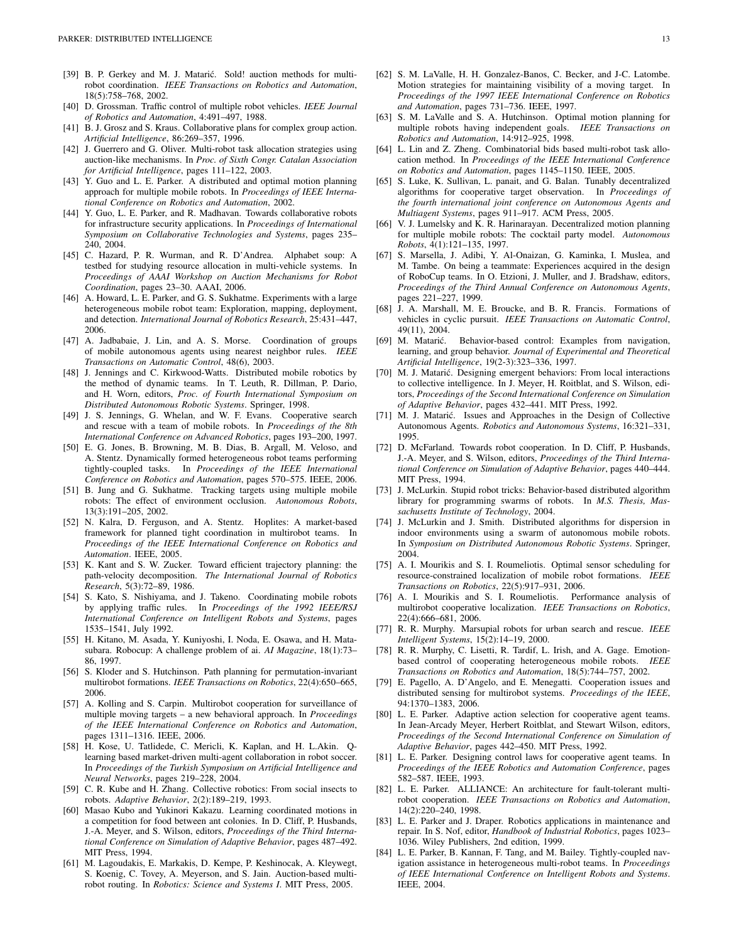- [39] B. P. Gerkey and M. J. Matarić. Sold! auction methods for multirobot coordination. *IEEE Transactions on Robotics and Automation*, 18(5):758–768, 2002.
- [40] D. Grossman. Traffic control of multiple robot vehicles. *IEEE Journal of Robotics and Automation*, 4:491–497, 1988.
- [41] B. J. Grosz and S. Kraus. Collaborative plans for complex group action. *Artificial Intelligence*, 86:269–357, 1996.
- [42] J. Guerrero and G. Oliver. Multi-robot task allocation strategies using auction-like mechanisms. In *Proc. of Sixth Congr. Catalan Association for Artificial Intelligence*, pages 111–122, 2003.
- [43] Y. Guo and L. E. Parker. A distributed and optimal motion planning approach for multiple mobile robots. In *Proceedings of IEEE International Conference on Robotics and Automation*, 2002.
- [44] Y. Guo, L. E. Parker, and R. Madhavan. Towards collaborative robots for infrastructure security applications. In *Proceedings of International Symposium on Collaborative Technologies and Systems*, pages 235– 240, 2004.
- [45] C. Hazard, P. R. Wurman, and R. D'Andrea. Alphabet soup: A testbed for studying resource allocation in multi-vehicle systems. In *Proceedings of AAAI Workshop on Auction Mechanisms for Robot Coordination*, pages 23–30. AAAI, 2006.
- [46] A. Howard, L. E. Parker, and G. S. Sukhatme. Experiments with a large heterogeneous mobile robot team: Exploration, mapping, deployment, and detection. *International Journal of Robotics Research*, 25:431–447, 2006.
- [47] A. Jadbabaie, J. Lin, and A. S. Morse. Coordination of groups of mobile autonomous agents using nearest neighbor rules. *IEEE Transactions on Automatic Control*, 48(6), 2003.
- [48] J. Jennings and C. Kirkwood-Watts. Distributed mobile robotics by the method of dynamic teams. In T. Leuth, R. Dillman, P. Dario, and H. Worn, editors, *Proc. of Fourth International Symposium on Distributed Autonomous Robotic Systems*. Springer, 1998.
- [49] J. S. Jennings, G. Whelan, and W. F. Evans. Cooperative search and rescue with a team of mobile robots. In *Proceedings of the 8th International Conference on Advanced Robotics*, pages 193–200, 1997.
- [50] E. G. Jones, B. Browning, M. B. Dias, B. Argall, M. Veloso, and A. Stentz. Dynamically formed heterogeneous robot teams performing tightly-coupled tasks. In *Proceedings of the IEEE International Conference on Robotics and Automation*, pages 570–575. IEEE, 2006.
- [51] B. Jung and G. Sukhatme. Tracking targets using multiple mobile robots: The effect of environment occlusion. *Autonomous Robots*, 13(3):191–205, 2002.
- [52] N. Kalra, D. Ferguson, and A. Stentz. Hoplites: A market-based framework for planned tight coordination in multirobot teams. In *Proceedings of the IEEE International Conference on Robotics and Automation*. IEEE, 2005.
- [53] K. Kant and S. W. Zucker. Toward efficient trajectory planning: the path-velocity decomposition. *The International Journal of Robotics Research*, 5(3):72–89, 1986.
- [54] S. Kato, S. Nishiyama, and J. Takeno. Coordinating mobile robots by applying traffic rules. In *Proceedings of the 1992 IEEE/RSJ International Conference on Intelligent Robots and Systems*, pages 1535–1541, July 1992.
- [55] H. Kitano, M. Asada, Y. Kuniyoshi, I. Noda, E. Osawa, and H. Matasubara. Robocup: A challenge problem of ai. *AI Magazine*, 18(1):73– 86, 1997.
- [56] S. Kloder and S. Hutchinson. Path planning for permutation-invariant multirobot formations. *IEEE Transactions on Robotics*, 22(4):650–665, 2006.
- [57] A. Kolling and S. Carpin. Multirobot cooperation for surveillance of multiple moving targets – a new behavioral approach. In *Proceedings of the IEEE International Conference on Robotics and Automation*, pages 1311–1316. IEEE, 2006.
- [58] H. Kose, U. Tatlidede, C. Mericli, K. Kaplan, and H. L.Akin. Qlearning based market-driven multi-agent collaboration in robot soccer. In *Proceedings of the Turkish Symposium on Artificial Intelligence and Neural Networks*, pages 219–228, 2004.
- [59] C. R. Kube and H. Zhang. Collective robotics: From social insects to robots. *Adaptive Behavior*, 2(2):189–219, 1993.
- [60] Masao Kubo and Yukinori Kakazu. Learning coordinated motions in a competition for food between ant colonies. In D. Cliff, P. Husbands, J.-A. Meyer, and S. Wilson, editors, *Proceedings of the Third International Conference on Simulation of Adaptive Behavior*, pages 487–492. MIT Press, 1994.
- [61] M. Lagoudakis, E. Markakis, D. Kempe, P. Keshinocak, A. Kleywegt, S. Koenig, C. Tovey, A. Meyerson, and S. Jain. Auction-based multirobot routing. In *Robotics: Science and Systems I*. MIT Press, 2005.
- [62] S. M. LaValle, H. H. Gonzalez-Banos, C. Becker, and J-C. Latombe. Motion strategies for maintaining visibility of a moving target. In *Proceedings of the 1997 IEEE International Conference on Robotics and Automation*, pages 731–736. IEEE, 1997.
- [63] S. M. LaValle and S. A. Hutchinson. Optimal motion planning for multiple robots having independent goals. *IEEE Transactions on Robotics and Automation*, 14:912–925, 1998.
- [64] L. Lin and Z. Zheng. Combinatorial bids based multi-robot task allocation method. In *Proceedings of the IEEE International Conference on Robotics and Automation*, pages 1145–1150. IEEE, 2005.
- [65] S. Luke, K. Sullivan, L. panait, and G. Balan. Tunably decentralized algorithms for cooperative target observation. In *Proceedings of the fourth international joint conference on Autonomous Agents and Multiagent Systems*, pages 911–917. ACM Press, 2005.
- [66] V. J. Lumelsky and K. R. Harinarayan. Decentralized motion planning for multiple mobile robots: The cocktail party model. *Autonomous Robots*, 4(1):121–135, 1997.
- [67] S. Marsella, J. Adibi, Y. Al-Onaizan, G. Kaminka, I. Muslea, and M. Tambe. On being a teammate: Experiences acquired in the design of RoboCup teams. In O. Etzioni, J. Muller, and J. Bradshaw, editors, *Proceedings of the Third Annual Conference on Autonomous Agents*, pages 221–227, 1999.
- [68] J. A. Marshall, M. E. Broucke, and B. R. Francis. Formations of vehicles in cyclic pursuit. *IEEE Transactions on Automatic Control*, 49(11), 2004.
- [69] M. Matarić. Behavior-based control: Examples from navigation, learning, and group behavior. *Journal of Experimental and Theoretical Artificial Intelligence*, 19(2-3):323–336, 1997.
- [70] M. J. Matarić. Designing emergent behaviors: From local interactions to collective intelligence. In J. Meyer, H. Roitblat, and S. Wilson, editors, *Proceedings of the Second International Conference on Simulation of Adaptive Behavior*, pages 432–441. MIT Press, 1992.
- [71] M. J. Matarić. Issues and Approaches in the Design of Collective Autonomous Agents. *Robotics and Autonomous Systems*, 16:321–331, 1995.
- [72] D. McFarland. Towards robot cooperation. In D. Cliff, P. Husbands, J.-A. Meyer, and S. Wilson, editors, *Proceedings of the Third International Conference on Simulation of Adaptive Behavior*, pages 440–444. MIT Press, 1994.
- [73] J. McLurkin. Stupid robot tricks: Behavior-based distributed algorithm library for programming swarms of robots. In *M.S. Thesis, Massachusetts Institute of Technology*, 2004.
- [74] J. McLurkin and J. Smith. Distributed algorithms for dispersion in indoor environments using a swarm of autonomous mobile robots. In *Symposium on Distributed Autonomous Robotic Systems*. Springer, 2004.
- [75] A. I. Mourikis and S. I. Roumeliotis. Optimal sensor scheduling for resource-constrained localization of mobile robot formations. *IEEE Transactions on Robotics*, 22(5):917–931, 2006.
- [76] A. I. Mourikis and S. I. Roumeliotis. Performance analysis of multirobot cooperative localization. *IEEE Transactions on Robotics*, 22(4):666–681, 2006.
- [77] R. R. Murphy. Marsupial robots for urban search and rescue. *IEEE Intelligent Systems*, 15(2):14–19, 2000.
- [78] R. R. Murphy, C. Lisetti, R. Tardif, L. Irish, and A. Gage. Emotionbased control of cooperating heterogeneous mobile robots. *IEEE Transactions on Robotics and Automation*, 18(5):744–757, 2002.
- [79] E. Pagello, A. D'Angelo, and E. Menegatti. Cooperation issues and distributed sensing for multirobot systems. *Proceedings of the IEEE*, 94:1370–1383, 2006.
- [80] L. E. Parker. Adaptive action selection for cooperative agent teams. In Jean-Arcady Meyer, Herbert Roitblat, and Stewart Wilson, editors, *Proceedings of the Second International Conference on Simulation of Adaptive Behavior*, pages 442–450. MIT Press, 1992.
- [81] L. E. Parker. Designing control laws for cooperative agent teams. In *Proceedings of the IEEE Robotics and Automation Conference*, pages 582–587. IEEE, 1993.
- [82] L. E. Parker. ALLIANCE: An architecture for fault-tolerant multirobot cooperation. *IEEE Transactions on Robotics and Automation*, 14(2):220–240, 1998.
- [83] L. E. Parker and J. Draper. Robotics applications in maintenance and repair. In S. Nof, editor, *Handbook of Industrial Robotics*, pages 1023– 1036. Wiley Publishers, 2nd edition, 1999.
- [84] L. E. Parker, B. Kannan, F. Tang, and M. Bailey. Tightly-coupled navigation assistance in heterogeneous multi-robot teams. In *Proceedings of IEEE International Conference on Intelligent Robots and Systems*. IEEE, 2004.